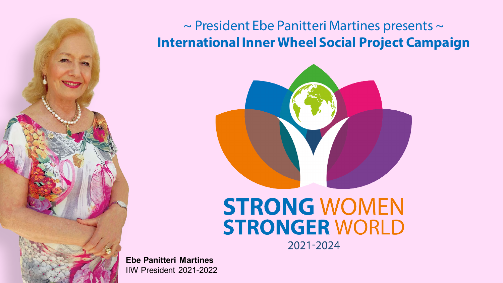

#### $\sim$  President Ebe Panitteri Martines presents  $\sim$ **International Inner Wheel Social Project Campaign**



## **STRONG WOMEN STRONGER WORLD**

2021-2024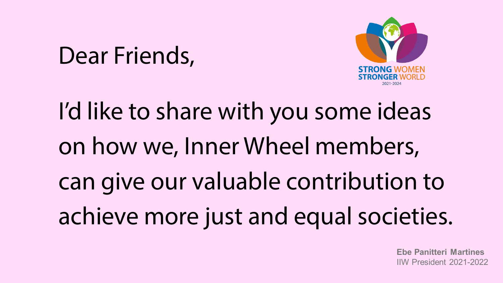## Dear Friends,



# I'd like to share with you some ideas on how we, Inner Wheel members, can give our valuable contribution to achieve more just and equal societies.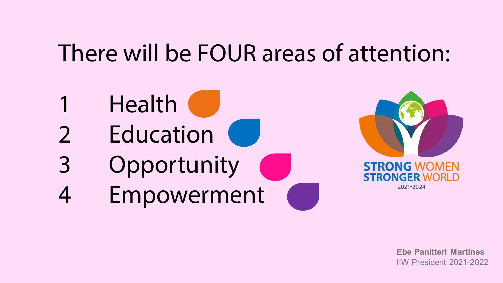## There will be FOUR areas of attention:

- **Health**
- 2 Education
- 3 Opportunity
- 4 Empowerment

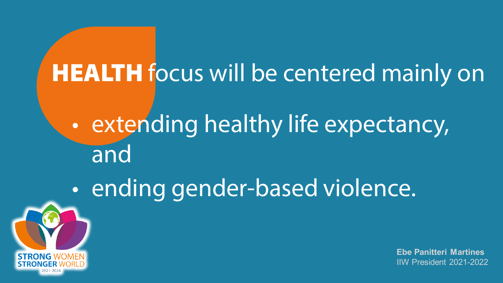## **HEALTH** focus will be centered mainly on

- extending healthy life expectancy, and
- ending gender-based violence.

**STRONG WO**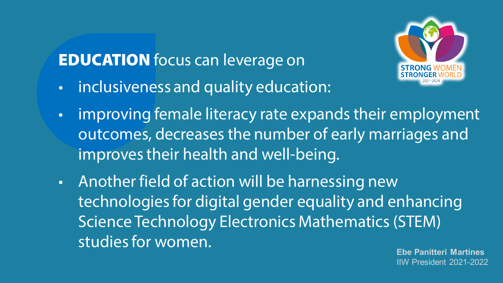### **EDUCATION** focus can leverage on



- inclusiveness and quality education:
- improving female literacy rate expands their employment outcomes, decreases the number of early marriages and improves their health and well-being.
- Another field of action will be harnessing new technologies for digital gender equality and enhancing Science Technology Electronics Mathematics (STEM) studies for women.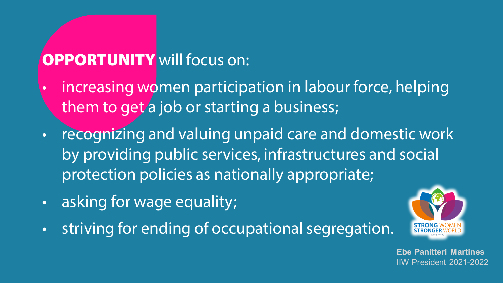#### **OPPORTUNITY** will focus on:

- increasing women participation in labour force, helping them to get a job or starting a business;
- recognizing and valuing unpaid care and domestic work by providing public services, infrastructures and social protection policies as nationally appropriate;
- asking for wage equality;
- striving for ending of occupational segregation.